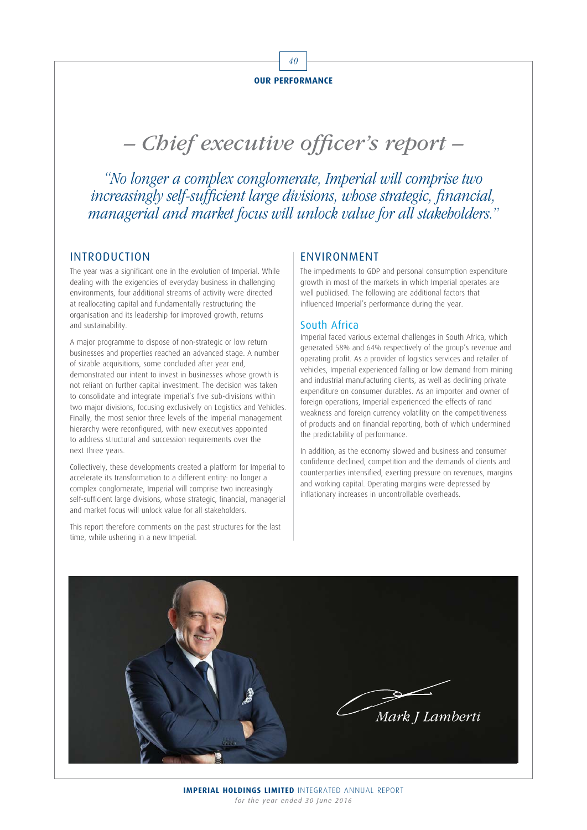

# – Chief executive officer's report –

"No longer a complex conglomerate, Imperial will comprise two increasingly self-sufficient large divisions, whose strategic, financial, managerial and market focus will unlock value for all stakeholders."

### INTRODUCTION

The year was a significant one in the evolution of Imperial. While dealing with the exigencies of everyday business in challenging environments, four additional streams of activity were directed at reallocating capital and fundamentally restructuring the organisation and its leadership for improved growth, returns and sustainability.

A major programme to dispose of non-strategic or low return businesses and properties reached an advanced stage. A number of sizable acquisitions, some concluded after year end, demonstrated our intent to invest in businesses whose growth is not reliant on further capital investment. The decision was taken to consolidate and integrate Imperial's five sub-divisions within two major divisions, focusing exclusively on Logistics and Vehicles. Finally, the most senior three levels of the Imperial management hierarchy were reconfigured, with new executives appointed to address structural and succession requirements over the next three years.

Collectively, these developments created a platform for Imperial to accelerate its transformation to a different entity: no longer a complex conglomerate, Imperial will comprise two increasingly self-sufficient large divisions, whose strategic, financial, managerial and market focus will unlock value for all stakeholders.

This report therefore comments on the past structures for the last time, while ushering in a new Imperial.

### ENVIRONMENT

The impediments to GDP and personal consumption expenditure growth in most of the markets in which Imperial operates are well publicised. The following are additional factors that influenced Imperial's performance during the year.

#### South Africa

Imperial faced various external challenges in South Africa, which generated 58% and 64% respectively of the group's revenue and operating profit. As a provider of logistics services and retailer of vehicles, Imperial experienced falling or low demand from mining and industrial manufacturing clients, as well as declining private expenditure on consumer durables. As an importer and owner of foreign operations, Imperial experienced the effects of rand weakness and foreign currency volatility on the competitiveness of products and on financial reporting, both of which undermined the predictability of performance.

In addition, as the economy slowed and business and consumer confidence declined, competition and the demands of clients and counterparties intensified, exerting pressure on revenues, margins and working capital. Operating margins were depressed by inflationary increases in uncontrollable overheads.

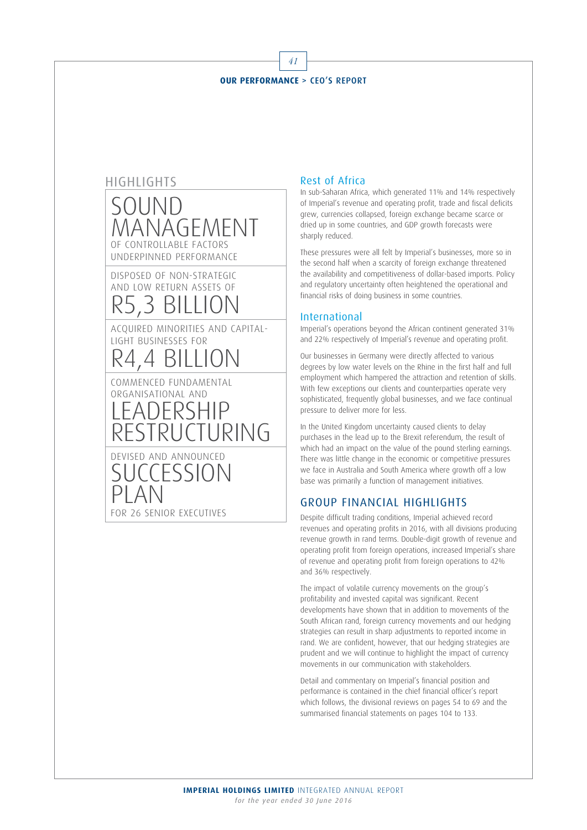# 41 **OUR PERFORMANCE** > CEO'S REPORT



AND LOW RETURN ASSETS OF AND LOW RETURN ASSETS OF

ACQUIRED MINORITIES AND CAPITAL-**ACQUIRED MINORITIES** NESSES FUR $\bigcap \Pi \sqcup \bigcap \Lambda \sqcup$ LIGHT BUSINESSES FOR

R4,4 BILLION business environment COMMENCED FUNDAMENTAL ORGANISATIONAL AND

FOCH LID LEADERSHIP RESTRUCTURING

DEVISED AND ANNOUNCED  $FSSION$ SUCCESSION  $\sqrt{a^2+a^2}$ PLAN FOR 26 SENIOR EXECUTIVES

#### Rest of Africa

In sub-Saharan Africa, which generated 11% and 14% respectively of Imperial's revenue and operating profit, trade and fiscal deficits grew, currencies collapsed, foreign exchange became scarce or dried up in some countries, and GDP growth forecasts were sharply reduced.

These pressures were all felt by Imperial's businesses, more so in the second half when a scarcity of foreign exchange threatened the availability and competitiveness of dollar-based imports. Policy and regulatory uncertainty often heightened the operational and financial risks of doing business in some countries.

#### International

Imperial's operations beyond the African continent generated 31% and 22% respectively of Imperial's revenue and operating profit.

Our businesses in Germany were directly affected to various degrees by low water levels on the Rhine in the first half and full employment which hampered the attraction and retention of skills. With few exceptions our clients and counterparties operate very sophisticated, frequently global businesses, and we face continual pressure to deliver more for less.

In the United Kingdom uncertainty caused clients to delay purchases in the lead up to the Brexit referendum, the result of which had an impact on the value of the pound sterling earnings. There was little change in the economic or competitive pressures we face in Australia and South America where growth off a low base was primarily a function of management initiatives.

## GROUP FINANCIAL HIGHLIGHTS

Despite difficult trading conditions, Imperial achieved record revenues and operating profits in 2016, with all divisions producing revenue growth in rand terms. Double-digit growth of revenue and operating profit from foreign operations, increased Imperial's share of revenue and operating profit from foreign operations to 42% and 36% respectively.

The impact of volatile currency movements on the group's profitability and invested capital was significant. Recent developments have shown that in addition to movements of the South African rand, foreign currency movements and our hedging strategies can result in sharp adjustments to reported income in rand. We are confident, however, that our hedging strategies are prudent and we will continue to highlight the impact of currency movements in our communication with stakeholders.

Detail and commentary on Imperial's financial position and performance is contained in the chief financial officer's report which follows, the divisional reviews on pages 54 to 69 and the summarised financial statements on pages 104 to 133.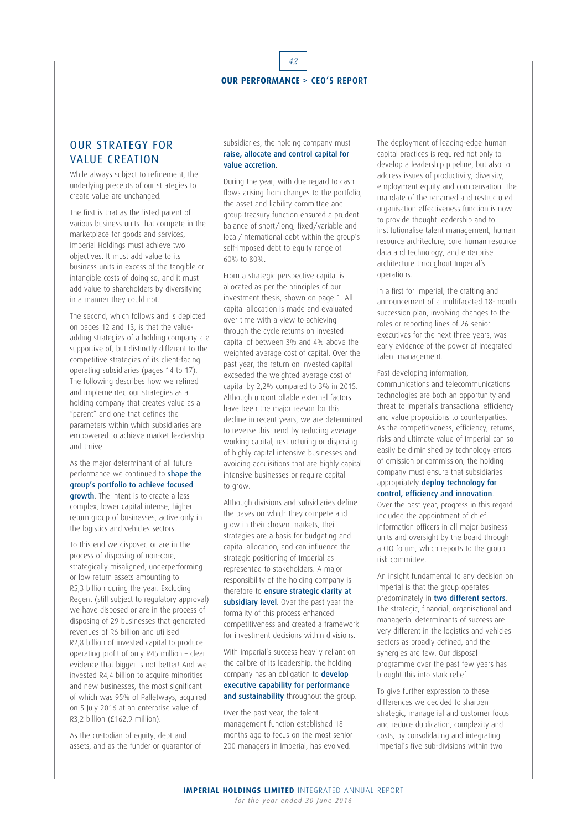#### **OUR PERFORMANCE** > CEO'S REPORT

42

## OUR STRATEGY FOR VALUE CREATION

While always subject to refinement, the underlying precepts of our strategies to create value are unchanged.

The first is that as the listed parent of various business units that compete in the marketplace for goods and services, Imperial Holdings must achieve two objectives. It must add value to its business units in excess of the tangible or intangible costs of doing so, and it must add value to shareholders by diversifying in a manner they could not.

The second, which follows and is depicted on pages 12 and 13, is that the valueadding strategies of a holding company are supportive of, but distinctly different to the competitive strategies of its client-facing operating subsidiaries (pages 14 to 17). The following describes how we refined and implemented our strategies as a holding company that creates value as a "parent" and one that defines the parameters within which subsidiaries are empowered to achieve market leadership and thrive.

As the major determinant of all future performance we continued to **shape the** group's portfolio to achieve focused **growth**. The intent is to create a less complex, lower capital intense, higher return group of businesses, active only in the logistics and vehicles sectors.

To this end we disposed or are in the process of disposing of non-core, strategically misaligned, underperforming or low return assets amounting to R5,3 billion during the year. Excluding Regent (still subject to regulatory approval) we have disposed or are in the process of disposing of 29 businesses that generated revenues of R6 billion and utilised R2,8 billion of invested capital to produce operating profit of only R45 million – clear evidence that bigger is not better! And we invested R4,4 billion to acquire minorities and new businesses, the most significant of which was 95% of Palletways, acquired on 5 July 2016 at an enterprise value of R3,2 billion (£162,9 million).

As the custodian of equity, debt and assets, and as the funder or guarantor of

#### subsidiaries, the holding company must raise, allocate and control capital for value accretion.

During the year, with due regard to cash flows arising from changes to the portfolio, the asset and liability committee and group treasury function ensured a prudent balance of short/long, fixed/variable and local/international debt within the group's self-imposed debt to equity range of 60% to 80%.

From a strategic perspective capital is allocated as per the principles of our investment thesis, shown on page 1. All capital allocation is made and evaluated over time with a view to achieving through the cycle returns on invested capital of between 3% and 4% above the weighted average cost of capital. Over the past year, the return on invested capital exceeded the weighted average cost of capital by 2,2% compared to 3% in 2015. Although uncontrollable external factors have been the major reason for this decline in recent years, we are determined to reverse this trend by reducing average working capital, restructuring or disposing of highly capital intensive businesses and avoiding acquisitions that are highly capital intensive businesses or require capital to grow.

Although divisions and subsidiaries define the bases on which they compete and grow in their chosen markets, their strategies are a basis for budgeting and capital allocation, and can influence the strategic positioning of Imperial as represented to stakeholders. A major responsibility of the holding company is therefore to ensure strategic clarity at subsidiary level. Over the past year the formality of this process enhanced competitiveness and created a framework for investment decisions within divisions.

With Imperial's success heavily reliant on the calibre of its leadership, the holding company has an obligation to **develop** executive capability for performance and sustainability throughout the group.

Over the past year, the talent management function established 18 months ago to focus on the most senior 200 managers in Imperial, has evolved.

The deployment of leading-edge human capital practices is required not only to develop a leadership pipeline, but also to address issues of productivity, diversity, employment equity and compensation. The mandate of the renamed and restructured organisation effectiveness function is now to provide thought leadership and to institutionalise talent management, human resource architecture, core human resource data and technology, and enterprise architecture throughout Imperial's operations.

In a first for Imperial, the crafting and announcement of a multifaceted 18-month succession plan, involving changes to the roles or reporting lines of 26 senior executives for the next three years, was early evidence of the power of integrated talent management.

Fast developing information, communications and telecommunications technologies are both an opportunity and threat to Imperial's transactional efficiency and value propositions to counterparties. As the competitiveness, efficiency, returns, risks and ultimate value of Imperial can so easily be diminished by technology errors of omission or commission, the holding company must ensure that subsidiaries appropriately deploy technology for control, efficiency and innovation. Over the past year, progress in this regard included the appointment of chief information officers in all major business

units and oversight by the board through a CIO forum, which reports to the group risk committee. An insight fundamental to any decision on

Imperial is that the group operates predominately in two different sectors. The strategic, financial, organisational and managerial determinants of success are very different in the logistics and vehicles sectors as broadly defined, and the synergies are few. Our disposal programme over the past few years has brought this into stark relief.

To give further expression to these differences we decided to sharpen strategic, managerial and customer focus and reduce duplication, complexity and costs, by consolidating and integrating Imperial's five sub-divisions within two